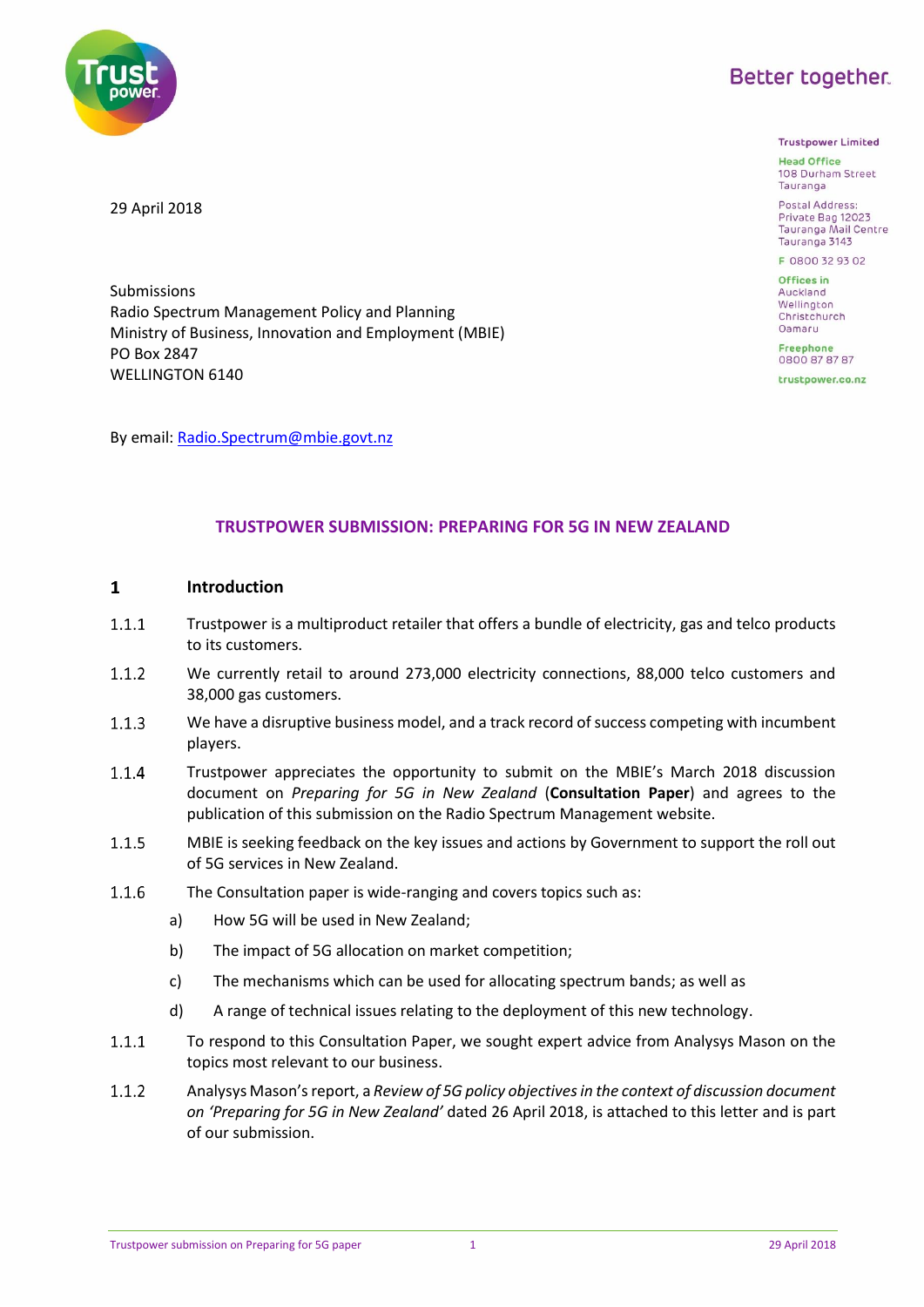

**Trustpower Limited** 

**Head Office** 108 Durham Street Tauranga

Postal Address: Private Bag 12023 Tauranga Mail Centre Tauranga 3143

F 0800 32 93 02

Offices in Auckland Wellington Christchurch Oamaru

**Freephone** 0800 87 87 87

trustpower.co.nz



Submissions Radio Spectrum Management Policy and Planning Ministry of Business, Innovation and Employment (MBIE) PO Box 2847 WELLINGTON 6140

By email: [Radio.Spectrum@mbie.govt.nz](mailto:Radio.Spectrum@mbie.govt.nz)

# **TRUSTPOWER SUBMISSION: PREPARING FOR 5G IN NEW ZEALAND**

#### $\mathbf{1}$ **Introduction**

- $1.1.1$ Trustpower is a multiproduct retailer that offers a bundle of electricity, gas and telco products to its customers.
- $1.1.2$ We currently retail to around 273,000 electricity connections, 88,000 telco customers and 38,000 gas customers.
- $1.1.3$ We have a disruptive business model, and a track record of success competing with incumbent players.
- $1.1.4$ Trustpower appreciates the opportunity to submit on the MBIE's March 2018 discussion document on *Preparing for 5G in New Zealand* (**Consultation Paper**) and agrees to the publication of this submission on the Radio Spectrum Management website.
- $1.1.5$ MBIE is seeking feedback on the key issues and actions by Government to support the roll out of 5G services in New Zealand.
- 1.1.6 The Consultation paper is wide-ranging and covers topics such as:
	- a) How 5G will be used in New Zealand;
	- b) The impact of 5G allocation on market competition;
	- c) The mechanisms which can be used for allocating spectrum bands; as well as
	- d) A range of technical issues relating to the deployment of this new technology.
- $1.1.1$ To respond to this Consultation Paper, we sought expert advice from Analysys Mason on the topics most relevant to our business.
- $1.1.2$ Analysys Mason'sreport, a *Review of 5G policy objectives in the context of discussion document on 'Preparing for 5G in New Zealand'* dated 26 April 2018, is attached to this letter and is part of our submission.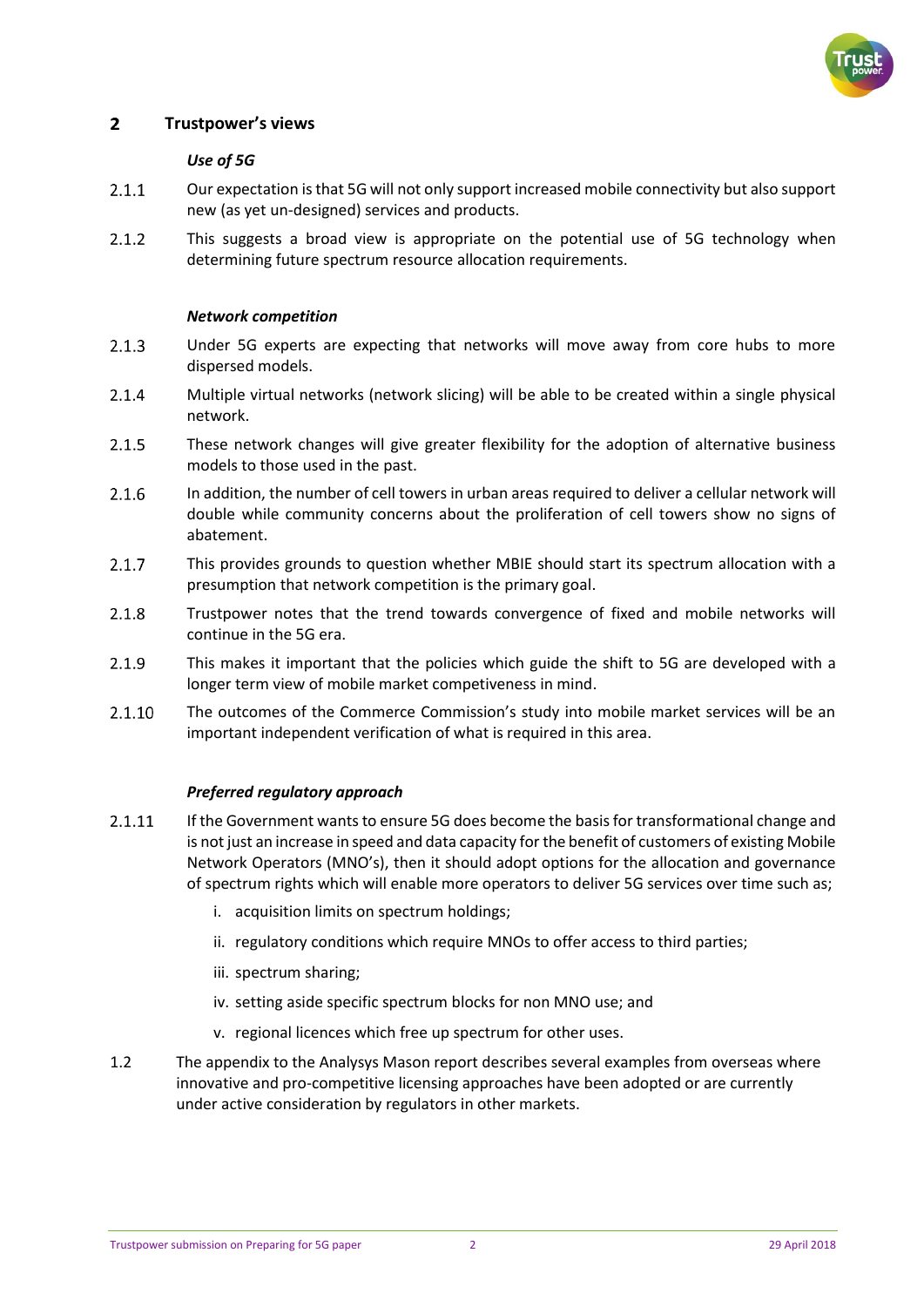

#### $\overline{2}$ **Trustpower's views**

# *Use of 5G*

- $2.1.1$ Our expectation is that 5G will not only support increased mobile connectivity but also support new (as yet un-designed) services and products.
- This suggests a broad view is appropriate on the potential use of 5G technology when  $2.1.2$ determining future spectrum resource allocation requirements.

## *Network competition*

- $2.1.3$ Under 5G experts are expecting that networks will move away from core hubs to more dispersed models.
- $2.1.4$ Multiple virtual networks (network slicing) will be able to be created within a single physical network.
- $2.1.5$ These network changes will give greater flexibility for the adoption of alternative business models to those used in the past.
- $2.1.6$ In addition, the number of cell towers in urban areas required to deliver a cellular network will double while community concerns about the proliferation of cell towers show no signs of abatement.
- $2.1.7$ This provides grounds to question whether MBIE should start its spectrum allocation with a presumption that network competition is the primary goal.
- 2.1.8 Trustpower notes that the trend towards convergence of fixed and mobile networks will continue in the 5G era.
- 2.1.9 This makes it important that the policies which guide the shift to 5G are developed with a longer term view of mobile market competiveness in mind.
- 2.1.10 The outcomes of the Commerce Commission's study into mobile market services will be an important independent verification of what is required in this area.

### *Preferred regulatory approach*

- If the Government wants to ensure 5G does become the basis for transformational change and 2.1.11 is not just an increase in speed and data capacity for the benefit of customers of existing Mobile Network Operators (MNO's), then it should adopt options for the allocation and governance of spectrum rights which will enable more operators to deliver 5G services over time such as;
	- i. acquisition limits on spectrum holdings;
	- ii. regulatory conditions which require MNOs to offer access to third parties;
	- iii. spectrum sharing;
	- iv. setting aside specific spectrum blocks for non MNO use; and
	- v. regional licences which free up spectrum for other uses.
- 1.2 The appendix to the Analysys Mason report describes several examples from overseas where innovative and pro-competitive licensing approaches have been adopted or are currently under active consideration by regulators in other markets.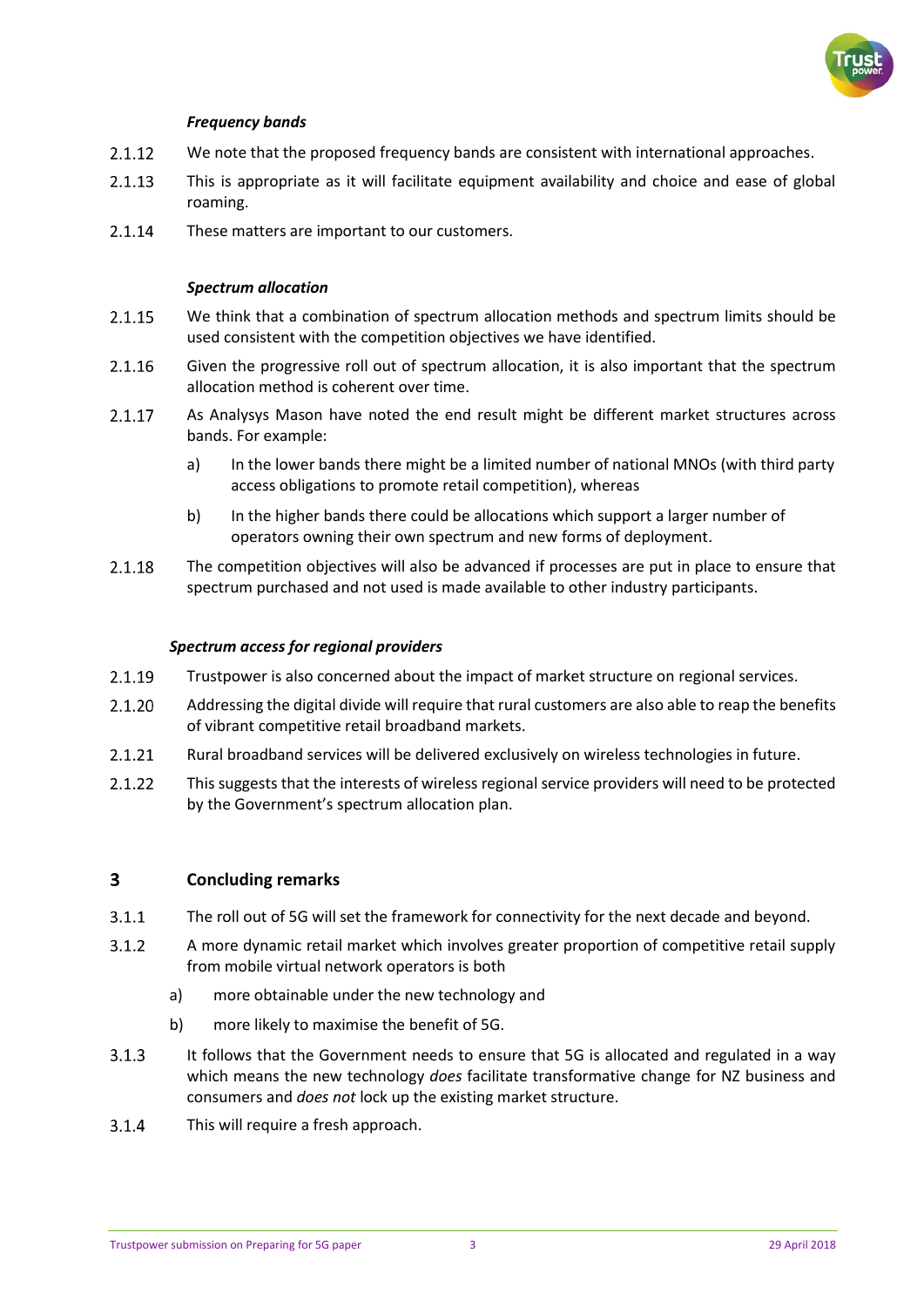

# *Frequency bands*

- 2.1.12 We note that the proposed frequency bands are consistent with international approaches.
- $2.1.13$ This is appropriate as it will facilitate equipment availability and choice and ease of global roaming.
- 2.1.14 These matters are important to our customers.

# *Spectrum allocation*

- $2.1.15$ We think that a combination of spectrum allocation methods and spectrum limits should be used consistent with the competition objectives we have identified.
- 2.1.16 Given the progressive roll out of spectrum allocation, it is also important that the spectrum allocation method is coherent over time.
- 2.1.17 As Analysys Mason have noted the end result might be different market structures across bands. For example:
	- a) In the lower bands there might be a limited number of national MNOs (with third party access obligations to promote retail competition), whereas
	- b) In the higher bands there could be allocations which support a larger number of operators owning their own spectrum and new forms of deployment.
- 2.1.18 The competition objectives will also be advanced if processes are put in place to ensure that spectrum purchased and not used is made available to other industry participants.

## *Spectrum access for regional providers*

- $2.1.19$ Trustpower is also concerned about the impact of market structure on regional services.
- 2.1.20 Addressing the digital divide will require that rural customers are also able to reap the benefits of vibrant competitive retail broadband markets.
- $2.1.21$ Rural broadband services will be delivered exclusively on wireless technologies in future.
- $2.1.22$ This suggests that the interests of wireless regional service providers will need to be protected by the Government's spectrum allocation plan.

#### $\overline{\mathbf{3}}$ **Concluding remarks**

- $3.1.1$ The roll out of 5G will set the framework for connectivity for the next decade and beyond.
- $3.1.2$ A more dynamic retail market which involves greater proportion of competitive retail supply from mobile virtual network operators is both
	- a) more obtainable under the new technology and
	- b) more likely to maximise the benefit of 5G.
- It follows that the Government needs to ensure that 5G is allocated and regulated in a way  $3.1.3$ which means the new technology *does* facilitate transformative change for NZ business and consumers and *does not* lock up the existing market structure.
- $3.1.4$ This will require a fresh approach.